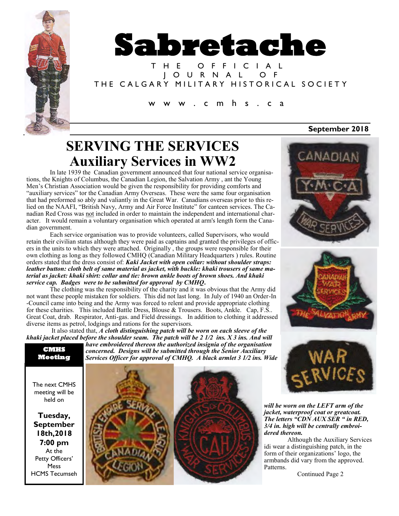

# **Sabretache**

T H E O F F I C I A L J O U R N A L O F THE CALGARY MILITARY HISTORICAL SOCIETY

#### c m h s . c a

## **SERVING THE SERVICES Auxiliary Services in WW2**

In late 1939 the Canadian government announced that four national service organisations, the Knights of Columbus, the Canadian Legion, the Salvation Army , ant the Young Men's Christian Association would be given the responsibility for providing comforts and "auxiliary services" tor the Canadian Army Overseas. These were the same four organisation that had preformed so ably and valiantly in the Great War. Canadians overseas prior to this relied on the NAAFI, "British Navy, Army and Air Force Institute" for canteen services. The Canadian Red Cross was not included in order to maintain the independent and international character. It would remain a voluntary organisation which operated at arm's length form the Canadian government.

Each service organisation was to provide volunteers, called Supervisors, who would retain their civilian status although they were paid as captains and granted the privileges of officers in the units to which they were attached. Originally , the groups were responsible for their own clothing as long as they followed CMHQ (Canadian Military Headquarters ) rules. Routine orders stated that the dress consist of: *Kaki Jacket with open collar: without shoulder straps: leather button: cloth belt of same material as jacket, with buckle: khaki trousers of same material as jacket: khaki shirt: collar and tie: brown ankle boots of brown shoes. And khaki service cap. Badges were to be submitted for approval by CMHQ***.**

The clothing was the responsibility of the charity and it was obvious that the Army did not want these people mistaken for soldiers. This did not last long. In July of 1940 an Order-In -Council came into being and the Army was forced to relent and provide appropriate clothing for these charities. This included Battle Dress, Blouse & Trousers. Boots, Ankle. Cap, F.S.. Great Coat, drab. Respirator, Anti-gas. and Field dressings. In addition to clothing it addressed diverse items as petrol, lodgings and rations for the supervisors.

It also stated that, *A cloth distinguishing patch will be worn on each sleeve of the khaki jacket placed before the shoulder seam. The patch will be 2 1/2 ins. X 3 ins. And will* 

*have embroidered thereon the authorized insignia of the organisation concerned. Designs will be submitted through the Senior Auxiliary Services Officer for approval of CMHQ. A black armlet 3 1/2 ins. Wide*  **CMHS Meeting** 

The next CMHS meeting will be held on

**Tuesday, September 18th,2018 7:00 pm** At the Petty Officers' Mess HCMS Tecumseh









*will be worn on the LEFT arm of the jacket, waterproof coat or greatcoat. The letters "CDN AUX SER " in RED, 3/4 in. high will be centrally embroidered thereon.*

Although the Auxiliary Services idi wear a distinguishing patch, in the form of their organizations' logo, the armbands did vary from the approved. Patterns.

Continued Page 2

#### **September 2018**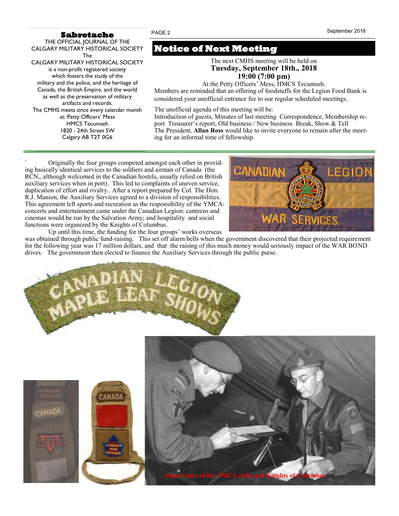#### **Sabretache**

THE OFFICIAL JOURNAL OF THE CALGARY MILITARY HISTORICAL SOCIETY The CALGARY MILITARY HISTORICAL SOCIETY is a non-profit registered society which fosters the study of the military and the police, and the heritage of Canada, the British Empire, and the world as well as the preservation of military artifacts and records. The CMHS meets once every calendar month at: Petty Officers' Mess HMCS Tecumseh 1820 - 24th Street SW

Calgary AB T2T 0G6

### **Notice of Next Meeting**

The next CMHS meeting will be held on **Tuesday, September 18th., 2018 19:00 (7:00 pm)**

At the Petty Officers' Mess, HMCS Tecumseh.

Members are reminded that an offering of foodstuffs for the Legion Food Bank is considered your unofficial entrance fee to our regular scheduled meetings*.*

The unofficial agenda of this meeting will be:

Introduction of guests, Minutes of last meeting Correspondence, Membership report Treasurer's report, Old business / New business Break, Show & Tell The President, **Allan Ross** would like to invite everyone to remain after the meeting for an informal time of fellowship.

` Originally the four groups competed amongst each other in providing basically identical services to the soldiers and airman of Canada (the RCN,, although welcomed in the Canadian hostels, usually relied on British auxiliary services when in port). This led to complaints of uneven service, duplication of effort and rivalry.. After a report prepared by Col. The Hon. R.J. Manion, the Auxiliary Services agreed to a division of responsibilities. This agreement left sports and recreation as the responsibility of the YMCA: concerts and entertainment came under the Canadian Legion: canteens and cinemas would be run by the Salvation Army; and hospitality and social functions were organized by the Knights of Columbus.

Canadian **LEGIO** 

Up until this time, the funding for the four groups' works overseas

was obtained through public fund-raising. This set off alarm bells when the government discovered that their projected requirement for the following year was 17 million dollars, and that the raising of this much money would seriously impact of the WAR BOND drives. The government then elected to finance the Auxiliary Services through the public purse.



CANADA



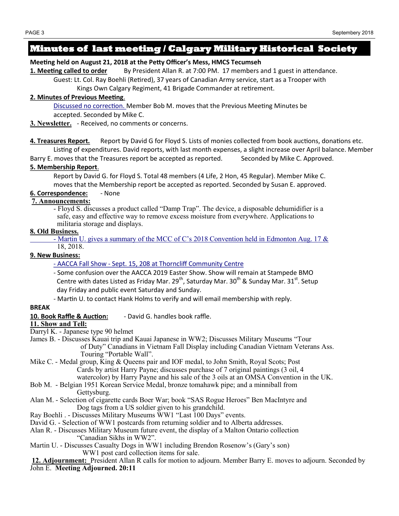#### **Minutes of last meeting / Calgary Military Historical Society**

#### **Meeting held on August 21, 2018 at the Petty Officer's Mess, HMCS Tecumseh**

1. Meeting called to order By President Allan R. at 7:00 PM. 17 members and 1 guest in attendance.

Guest: Lt. Col. Ray Boehli (Retired), 37 years of Canadian Army service, start as a Trooper with Kings Own Calgary Regiment, 41 Brigade Commander at retirement.

#### **2. Minutes of Previous Meeting**.

Discussed no correction. Member Bob M. moves that the Previous Meeting Minutes be accepted. Seconded by Mike C.

**3. Newsletter.** - Received, no comments or concerns.

**4. Treasures Report***.* Report by David G for Floyd S. Lists of monies collected from book auctions, donations etc. Listing of expenditures. David reports, with last month expenses, a slight increase over April balance. Member

Barry E. moves that the Treasures report be accepted as reported. Seconded by Mike C. Approved.

#### **5. Membership Report**.

Report by David G. for Floyd S. Total 48 members (4 Life, 2 Hon, 45 Regular). Member Mike C. moves that the Membership report be accepted as reported. Seconded by Susan E. approved.

**6. Correspondence:** - None

#### **7. Announcements:**

- Floyd S. discusses a product called "Damp Trap". The device, a disposable dehumidifier is a safe, easy and effective way to remove excess moisture from everywhere. Applications to militaria storage and displays.

#### **8. Old Business.**

- Martin U. gives a summary of the MCC of C's 2018 Convention held in Edmonton Aug. 17 & 18, 2018.

#### **9. New Business:**

- AACCA Fall Show - Sept. 15, 208 at Thorncliff Community Centre

- Some confusion over the AACCA 2019 Easter Show. Show will remain at Stampede BMO Centre with dates Listed as Friday Mar. 29<sup>th</sup>, Saturday Mar. 30<sup>th</sup> & Sunday Mar. 31<sup>st</sup>. Setup day Friday and public event Saturday and Sunday.

- Martin U. to contact Hank Holms to verify and will email membership with reply.

#### **BREAK**

**10. Book Raffle & Auction:** - David G. handles book raffle.

#### **11. Show and Tell:**

- Darryl K. Japanese type 90 helmet
- James B. Discusses Kauai trip and Kauai Japanese in WW2; Discusses Military Museums "Tour of Duty" Canadians in Vietnam Fall Display including Canadian Vietnam Veterans Ass. Touring "Portable Wall".
- Mike C. Medal group, King & Queens pair and IOF medal, to John Smith, Royal Scots; Post Cards by artist Harry Payne; discusses purchase of 7 original paintings (3 oil, 4 watercolor) by Harry Payne and his sale of the 3 oils at an OMSA Convention in the UK.
- Bob M. Belgian 1951 Korean Service Medal, bronze tomahawk pipe; and a minniball from Gettysburg.
- Alan M. Selection of cigarette cards Boer War; book "SAS Rogue Heroes" Ben MacIntyre and Dog tags from a US soldier given to his grandchild.
- Ray Boehli . Discusses Military Museums WW1 "Last 100 Days" events.
- David G. Selection of WW1 postcards from returning soldier and to Alberta addresses.

#### Alan R. - Discusses Military Museum future event, the display of a Malton Ontario collection "Canadian Sikhs in WW2".

Martin U. - Discusses Casualty Dogs in WW1 including Brendon Rosenow's (Gary's son) WW1 post card collection items for sale.

**12. Adjournment:** President Allan R calls for motion to adjourn. Member Barry E. moves to adjourn. Seconded by John E. **Meeting Adjourned. 20:11**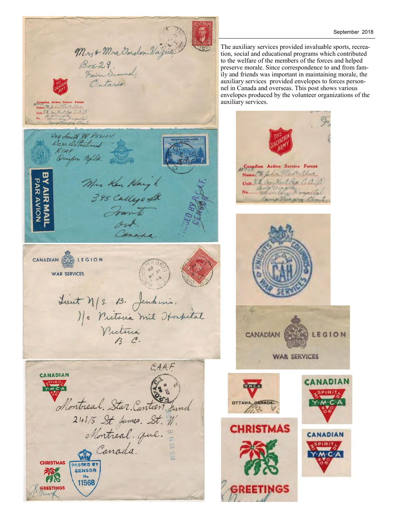

The auxiliary services provided invaluable sports, recreation, social and educational programs which contributed to the welfare of the members of the forces and helped preserve morale. Since correspondence to and from fam ily and friends was important in maintaining morale, the auxiliary services provided envelopes to forces personnel in Canada and overseas. This post shows various envelopes produced by the volunteer organizations of the auxiliary services.

As Outsidian Active Service Forces<br>Name/The John Medit Live

Unit N.2. Cog. Nort Rep. C. A. R.

**CANADIAN** 

**ETINGS** 

Camp Missing Com

**WAR SERVICES** 

LEGION

ANADIAN

**CANADIAN**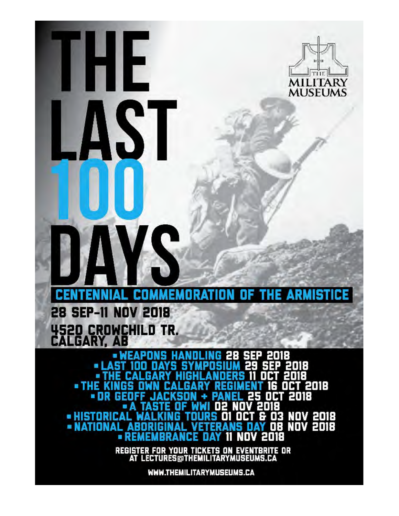

MUSEUMS

HE

S.

iΡ P 2018 . . 018 П **OCT 2018** o THE 2018 пn 03 NOV 2018<br>08 NOV 2018 8 • HISTORIC **- NATIONAL** 2018 ND вR

REGISTER FOR YOUR TICKETS ON EVENTBRITE OR<br>AT LECTURES@THEMILITARYMUSEUMS.CA

WWW.THEMILITARYMUSEUMS.CA